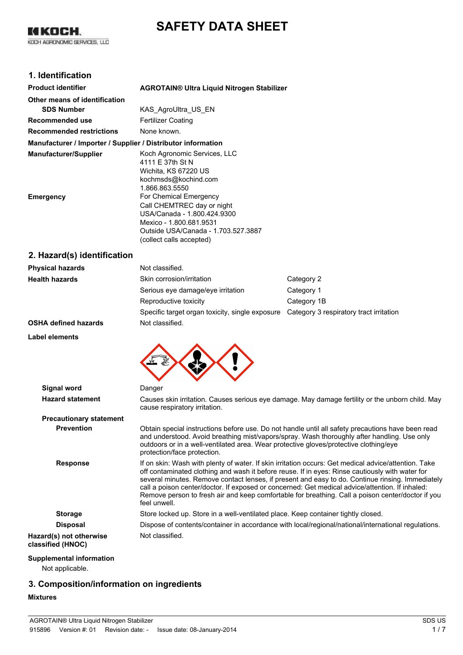# **SAFETY DATA SHEET**

KI KOCH. KOCH AGRONOMIC SERVICES, LLC

# **1. Identification**

| <b>Product identifier</b>                                    | <b>AGROTAIN® Ultra Liquid Nitrogen Stabilizer</b> |
|--------------------------------------------------------------|---------------------------------------------------|
| Other means of identification                                |                                                   |
| <b>SDS Number</b>                                            | KAS AgroUltra US EN                               |
| Recommended use                                              | Fertilizer Coating                                |
| <b>Recommended restrictions</b>                              | None known.                                       |
| Manufacturer / Importer / Supplier / Distributor information |                                                   |
| <b>Manufacturer/Supplier</b>                                 | Koch Agronomic Services, LLC                      |
|                                                              | 4111 E 37th St N                                  |
|                                                              | Wichita, KS 67220 US                              |
|                                                              | kochmsds@kochind.com                              |
|                                                              | 1.866.863.5550                                    |
| Emergency                                                    | For Chemical Emergency                            |
|                                                              | Call CHEMTREC day or night                        |
|                                                              | USA/Canada - 1.800.424.9300                       |
|                                                              | Mexico - 1.800.681.9531                           |
|                                                              | Outside USA/Canada - 1.703.527.3887               |
|                                                              | (collect calls accepted)                          |

### **2. Hazard(s) identification**

| <b>Physical hazards</b>     | Not classified.                                                                         |             |
|-----------------------------|-----------------------------------------------------------------------------------------|-------------|
| <b>Health hazards</b>       | Skin corrosion/irritation                                                               | Category 2  |
|                             | Serious eye damage/eye irritation                                                       | Category 1  |
|                             | Reproductive toxicity                                                                   | Category 1B |
|                             | Specific target organ toxicity, single exposure Category 3 respiratory tract irritation |             |
| <b>OSHA defined hazards</b> | Not classified.                                                                         |             |

#### **Label elements**



| Signal word                                  | Danger                                                                                                                                                                                                                                                                                                                                                                                                                                                                                                                              |
|----------------------------------------------|-------------------------------------------------------------------------------------------------------------------------------------------------------------------------------------------------------------------------------------------------------------------------------------------------------------------------------------------------------------------------------------------------------------------------------------------------------------------------------------------------------------------------------------|
| <b>Hazard statement</b>                      | Causes skin irritation. Causes serious eye damage. May damage fertility or the unborn child. May<br>cause respiratory irritation.                                                                                                                                                                                                                                                                                                                                                                                                   |
| <b>Precautionary statement</b>               |                                                                                                                                                                                                                                                                                                                                                                                                                                                                                                                                     |
| <b>Prevention</b>                            | Obtain special instructions before use. Do not handle until all safety precautions have been read<br>and understood. Avoid breathing mist/vapors/spray. Wash thoroughly after handling. Use only<br>outdoors or in a well-ventilated area. Wear protective gloves/protective clothing/eye<br>protection/face protection.                                                                                                                                                                                                            |
| <b>Response</b>                              | If on skin: Wash with plenty of water. If skin irritation occurs: Get medical advice/attention. Take<br>off contaminated clothing and wash it before reuse. If in eyes: Rinse cautiously with water for<br>several minutes. Remove contact lenses, if present and easy to do. Continue rinsing. Immediately<br>call a poison center/doctor. If exposed or concerned: Get medical advice/attention. If inhaled:<br>Remove person to fresh air and keep comfortable for breathing. Call a poison center/doctor if you<br>feel unwell. |
| <b>Storage</b>                               | Store locked up. Store in a well-ventilated place. Keep container tightly closed.                                                                                                                                                                                                                                                                                                                                                                                                                                                   |
| <b>Disposal</b>                              | Dispose of contents/container in accordance with local/regional/national/international regulations.                                                                                                                                                                                                                                                                                                                                                                                                                                 |
| Hazard(s) not otherwise<br>classified (HNOC) | Not classified.                                                                                                                                                                                                                                                                                                                                                                                                                                                                                                                     |
| Sunnlomontal information                     |                                                                                                                                                                                                                                                                                                                                                                                                                                                                                                                                     |

# **Supplemental information**

Not applicable.

### **3. Composition/information on ingredients**

#### **Mixtures**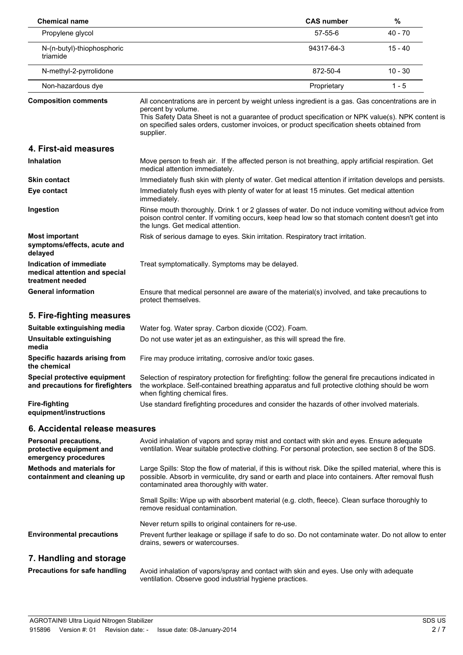| <b>Chemical name</b>                                                         |                                                                                                                                                                                                                                                                                                                                           | <b>CAS number</b>                                                                                                                                                                                       | %         |  |
|------------------------------------------------------------------------------|-------------------------------------------------------------------------------------------------------------------------------------------------------------------------------------------------------------------------------------------------------------------------------------------------------------------------------------------|---------------------------------------------------------------------------------------------------------------------------------------------------------------------------------------------------------|-----------|--|
| Propylene glycol                                                             |                                                                                                                                                                                                                                                                                                                                           | 57-55-6                                                                                                                                                                                                 | $40 - 70$ |  |
| N-(n-butyl)-thiophosphoric<br>triamide                                       |                                                                                                                                                                                                                                                                                                                                           | 94317-64-3                                                                                                                                                                                              | $15 - 40$ |  |
| N-methyl-2-pyrrolidone                                                       |                                                                                                                                                                                                                                                                                                                                           | 872-50-4                                                                                                                                                                                                | $10 - 30$ |  |
| Non-hazardous dye                                                            |                                                                                                                                                                                                                                                                                                                                           | Proprietary                                                                                                                                                                                             | $1 - 5$   |  |
| <b>Composition comments</b>                                                  | All concentrations are in percent by weight unless ingredient is a gas. Gas concentrations are in<br>percent by volume.<br>This Safety Data Sheet is not a guarantee of product specification or NPK value(s). NPK content is<br>on specified sales orders, customer invoices, or product specification sheets obtained from<br>supplier. |                                                                                                                                                                                                         |           |  |
| 4. First-aid measures                                                        |                                                                                                                                                                                                                                                                                                                                           |                                                                                                                                                                                                         |           |  |
| <b>Inhalation</b>                                                            | Move person to fresh air. If the affected person is not breathing, apply artificial respiration. Get<br>medical attention immediately.                                                                                                                                                                                                    |                                                                                                                                                                                                         |           |  |
| <b>Skin contact</b>                                                          | Immediately flush skin with plenty of water. Get medical attention if irritation develops and persists.                                                                                                                                                                                                                                   |                                                                                                                                                                                                         |           |  |
| Eye contact                                                                  | Immediately flush eyes with plenty of water for at least 15 minutes. Get medical attention<br>immediately.                                                                                                                                                                                                                                |                                                                                                                                                                                                         |           |  |
| Ingestion                                                                    | Rinse mouth thoroughly. Drink 1 or 2 glasses of water. Do not induce vomiting without advice from<br>poison control center. If vomiting occurs, keep head low so that stomach content doesn't get into<br>the lungs. Get medical attention.                                                                                               |                                                                                                                                                                                                         |           |  |
| <b>Most important</b><br>symptoms/effects, acute and<br>delayed              | Risk of serious damage to eyes. Skin irritation. Respiratory tract irritation.                                                                                                                                                                                                                                                            |                                                                                                                                                                                                         |           |  |
| Indication of immediate<br>medical attention and special<br>treatment needed | Treat symptomatically. Symptoms may be delayed.                                                                                                                                                                                                                                                                                           |                                                                                                                                                                                                         |           |  |
| <b>General information</b>                                                   | protect themselves.                                                                                                                                                                                                                                                                                                                       | Ensure that medical personnel are aware of the material(s) involved, and take precautions to                                                                                                            |           |  |
| 5. Fire-fighting measures                                                    |                                                                                                                                                                                                                                                                                                                                           |                                                                                                                                                                                                         |           |  |
| Suitable extinguishing media                                                 | Water fog. Water spray. Carbon dioxide (CO2). Foam.                                                                                                                                                                                                                                                                                       |                                                                                                                                                                                                         |           |  |
| Unsuitable extinguishing<br>media                                            | Do not use water jet as an extinguisher, as this will spread the fire.                                                                                                                                                                                                                                                                    |                                                                                                                                                                                                         |           |  |
| Specific hazards arising from<br>the chemical                                |                                                                                                                                                                                                                                                                                                                                           | Fire may produce irritating, corrosive and/or toxic gases.                                                                                                                                              |           |  |
| Special protective equipment<br>and precautions for firefighters             | when fighting chemical fires.                                                                                                                                                                                                                                                                                                             | Selection of respiratory protection for firefighting: follow the general fire precautions indicated in<br>the workplace. Self-contained breathing apparatus and full protective clothing should be worn |           |  |
| <b>Fire-fighting</b><br>equipment/instructions                               |                                                                                                                                                                                                                                                                                                                                           | Use standard firefighting procedures and consider the hazards of other involved materials.                                                                                                              |           |  |
| 6. Accidental release measures                                               |                                                                                                                                                                                                                                                                                                                                           |                                                                                                                                                                                                         |           |  |
| Personal precautions,<br>protective equipment and<br>emergency procedures    | Avoid inhalation of vapors and spray mist and contact with skin and eyes. Ensure adequate<br>ventilation. Wear suitable protective clothing. For personal protection, see section 8 of the SDS.                                                                                                                                           |                                                                                                                                                                                                         |           |  |
| <b>Methods and materials for</b><br>containment and cleaning up              | Large Spills: Stop the flow of material, if this is without risk. Dike the spilled material, where this is<br>possible. Absorb in vermiculite, dry sand or earth and place into containers. After removal flush<br>contaminated area thoroughly with water.                                                                               |                                                                                                                                                                                                         |           |  |
|                                                                              | Small Spills: Wipe up with absorbent material (e.g. cloth, fleece). Clean surface thoroughly to<br>remove residual contamination.                                                                                                                                                                                                         |                                                                                                                                                                                                         |           |  |
|                                                                              | Never return spills to original containers for re-use.                                                                                                                                                                                                                                                                                    |                                                                                                                                                                                                         |           |  |
| <b>Environmental precautions</b>                                             | Prevent further leakage or spillage if safe to do so. Do not contaminate water. Do not allow to enter<br>drains, sewers or watercourses.                                                                                                                                                                                                  |                                                                                                                                                                                                         |           |  |
| 7. Handling and storage                                                      |                                                                                                                                                                                                                                                                                                                                           |                                                                                                                                                                                                         |           |  |
| <b>Precautions for safe handling</b>                                         | Avoid inhalation of vapors/spray and contact with skin and eyes. Use only with adequate<br>ventilation. Observe good industrial hygiene practices.                                                                                                                                                                                        |                                                                                                                                                                                                         |           |  |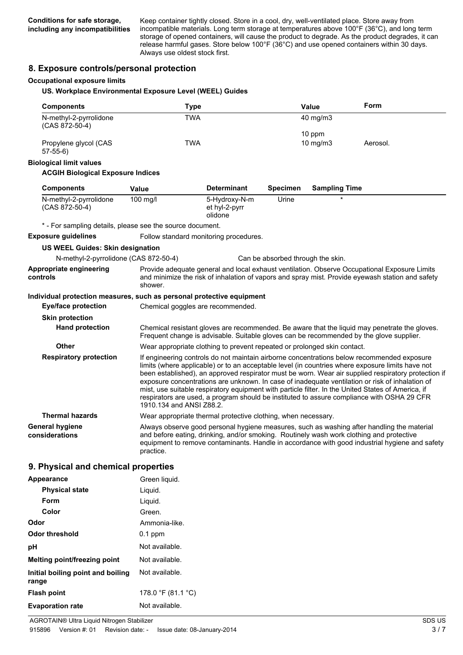Keep container tightly closed. Store in a cool, dry, well-ventilated place. Store away from incompatible materials. Long term storage at temperatures above 100°F (36°C), and long term storage of opened containers, will cause the product to degrade. As the product degrades, it can release harmful gases. Store below 100°F (36°C) and use opened containers within 30 days. Always use oldest stock first.

### **8. Exposure controls/personal protection**

#### **Occupational exposure limits**

#### **US. Workplace Environmental Exposure Level (WEEL) Guides**

| <b>Components</b>                                                     | <b>Type</b>                                                                                           |                                           |                                   | Value                | Form                                                                                                                                                                                                                                                                                                                                                                                                                                                                                                                                                                                                         |
|-----------------------------------------------------------------------|-------------------------------------------------------------------------------------------------------|-------------------------------------------|-----------------------------------|----------------------|--------------------------------------------------------------------------------------------------------------------------------------------------------------------------------------------------------------------------------------------------------------------------------------------------------------------------------------------------------------------------------------------------------------------------------------------------------------------------------------------------------------------------------------------------------------------------------------------------------------|
| N-methyl-2-pyrrolidone<br>(CAS 872-50-4)                              | <b>TWA</b>                                                                                            |                                           |                                   | 40 mg/m3             |                                                                                                                                                                                                                                                                                                                                                                                                                                                                                                                                                                                                              |
| Propylene glycol (CAS<br>$57-55-6$                                    | <b>TWA</b>                                                                                            |                                           |                                   | 10 ppm<br>10 mg/m3   | Aerosol.                                                                                                                                                                                                                                                                                                                                                                                                                                                                                                                                                                                                     |
| <b>Biological limit values</b>                                        |                                                                                                       |                                           |                                   |                      |                                                                                                                                                                                                                                                                                                                                                                                                                                                                                                                                                                                                              |
| <b>ACGIH Biological Exposure Indices</b>                              |                                                                                                       |                                           |                                   |                      |                                                                                                                                                                                                                                                                                                                                                                                                                                                                                                                                                                                                              |
| <b>Components</b>                                                     | Value                                                                                                 | <b>Determinant</b>                        | <b>Specimen</b>                   | <b>Sampling Time</b> |                                                                                                                                                                                                                                                                                                                                                                                                                                                                                                                                                                                                              |
| N-methyl-2-pyrrolidone<br>(CAS 872-50-4)                              | 100 mg/l                                                                                              | 5-Hydroxy-N-m<br>et hyl-2-pyrr<br>olidone | Urine                             |                      |                                                                                                                                                                                                                                                                                                                                                                                                                                                                                                                                                                                                              |
| * - For sampling details, please see the source document.             |                                                                                                       |                                           |                                   |                      |                                                                                                                                                                                                                                                                                                                                                                                                                                                                                                                                                                                                              |
| <b>Exposure guidelines</b>                                            | Follow standard monitoring procedures.                                                                |                                           |                                   |                      |                                                                                                                                                                                                                                                                                                                                                                                                                                                                                                                                                                                                              |
| <b>US WEEL Guides: Skin designation</b>                               |                                                                                                       |                                           |                                   |                      |                                                                                                                                                                                                                                                                                                                                                                                                                                                                                                                                                                                                              |
| N-methyl-2-pyrrolidone (CAS 872-50-4)                                 |                                                                                                       |                                           | Can be absorbed through the skin. |                      |                                                                                                                                                                                                                                                                                                                                                                                                                                                                                                                                                                                                              |
| Appropriate engineering<br>controls                                   | shower.                                                                                               |                                           |                                   |                      | Provide adequate general and local exhaust ventilation. Observe Occupational Exposure Limits<br>and minimize the risk of inhalation of vapors and spray mist. Provide eyewash station and safety                                                                                                                                                                                                                                                                                                                                                                                                             |
| Individual protection measures, such as personal protective equipment |                                                                                                       |                                           |                                   |                      |                                                                                                                                                                                                                                                                                                                                                                                                                                                                                                                                                                                                              |
| <b>Eye/face protection</b>                                            | Chemical goggles are recommended.                                                                     |                                           |                                   |                      |                                                                                                                                                                                                                                                                                                                                                                                                                                                                                                                                                                                                              |
| <b>Skin protection</b>                                                |                                                                                                       |                                           |                                   |                      |                                                                                                                                                                                                                                                                                                                                                                                                                                                                                                                                                                                                              |
| <b>Hand protection</b>                                                |                                                                                                       |                                           |                                   |                      | Chemical resistant gloves are recommended. Be aware that the liquid may penetrate the gloves.<br>Frequent change is advisable. Suitable gloves can be recommended by the glove supplier.                                                                                                                                                                                                                                                                                                                                                                                                                     |
| Other                                                                 | Wear appropriate clothing to prevent repeated or prolonged skin contact.                              |                                           |                                   |                      |                                                                                                                                                                                                                                                                                                                                                                                                                                                                                                                                                                                                              |
| <b>Respiratory protection</b>                                         | 1910.134 and ANSI Z88.2.                                                                              |                                           |                                   |                      | If engineering controls do not maintain airborne concentrations below recommended exposure<br>limits (where applicable) or to an acceptable level (in countries where exposure limits have not<br>been established), an approved respirator must be worn. Wear air supplied respiratory protection if<br>exposure concentrations are unknown. In case of inadequate ventilation or risk of inhalation of<br>mist, use suitable respiratory equipment with particle filter. In the United States of America, if<br>respirators are used, a program should be instituted to assure compliance with OSHA 29 CFR |
| <b>Thermal hazards</b>                                                | Wear appropriate thermal protective clothing, when necessary.                                         |                                           |                                   |                      |                                                                                                                                                                                                                                                                                                                                                                                                                                                                                                                                                                                                              |
| <b>General hygiene</b><br>considerations                              | and before eating, drinking, and/or smoking. Routinely wash work clothing and protective<br>practice. |                                           |                                   |                      | Always observe good personal hygiene measures, such as washing after handling the material<br>equipment to remove contaminants. Handle in accordance with good industrial hygiene and safety                                                                                                                                                                                                                                                                                                                                                                                                                 |
|                                                                       |                                                                                                       |                                           |                                   |                      |                                                                                                                                                                                                                                                                                                                                                                                                                                                                                                                                                                                                              |

### **9. Physical and chemical properties**

| Appearance                                 | Green liquid.      |
|--------------------------------------------|--------------------|
| <b>Physical state</b>                      | Liquid.            |
| Form                                       | Liquid.            |
| Color                                      | Green.             |
| Odor                                       | Ammonia-like.      |
| <b>Odor threshold</b>                      | $0.1$ ppm          |
| рH                                         | Not available.     |
| Melting point/freezing point               | Not available.     |
| Initial boiling point and boiling<br>range | Not available.     |
| <b>Flash point</b>                         | 178.0 °F (81.1 °C) |
| <b>Evaporation rate</b>                    | Not available.     |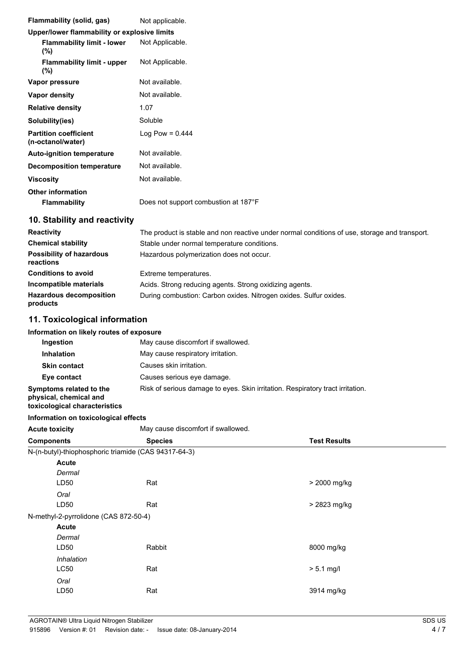| Flammability (solid, gas)                         | Not applicable.                                                                               |
|---------------------------------------------------|-----------------------------------------------------------------------------------------------|
| Upper/lower flammability or explosive limits      |                                                                                               |
| <b>Flammability limit - lower</b><br>(%)          | Not Applicable.                                                                               |
| <b>Flammability limit - upper</b><br>(%)          | Not Applicable.                                                                               |
| Vapor pressure                                    | Not available.                                                                                |
| <b>Vapor density</b>                              | Not available.                                                                                |
| <b>Relative density</b>                           | 1.07                                                                                          |
| Solubility(ies)                                   | Soluble                                                                                       |
| <b>Partition coefficient</b><br>(n-octanol/water) | Log Pow = $0.444$                                                                             |
| <b>Auto-ignition temperature</b>                  | Not available.                                                                                |
| <b>Decomposition temperature</b>                  | Not available.                                                                                |
| <b>Viscosity</b>                                  | Not available.                                                                                |
| <b>Other information</b>                          |                                                                                               |
| <b>Flammability</b>                               | Does not support combustion at 187°F                                                          |
| 10. Stability and reactivity                      |                                                                                               |
| <b>Reactivity</b>                                 | The product is stable and non reactive under normal conditions of use, storage and transport. |
| <b>Chemical stability</b>                         | Stable under normal temperature conditions.                                                   |
| <b>Possibility of hazardous</b><br>reactions      | Hazardous polymerization does not occur.                                                      |
| <b>Conditions to avoid</b>                        | Extreme temperatures.                                                                         |
| Incompatible materials                            | Acids. Strong reducing agents. Strong oxidizing agents.                                       |
| <b>Hazardous decomposition</b><br>products        | During combustion: Carbon oxides. Nitrogen oxides. Sulfur oxides.                             |
| 11. Toxicological information                     |                                                                                               |

| Information on likely routes of exposure                                           |                                                                                |
|------------------------------------------------------------------------------------|--------------------------------------------------------------------------------|
| Ingestion                                                                          | May cause discomfort if swallowed.                                             |
| <b>Inhalation</b>                                                                  | May cause respiratory irritation.                                              |
| <b>Skin contact</b>                                                                | Causes skin irritation.                                                        |
| Eye contact                                                                        | Causes serious eye damage.                                                     |
| Symptoms related to the<br>physical, chemical and<br>toxicological characteristics | Risk of serious damage to eyes. Skin irritation. Respiratory tract irritation. |

**Information on toxicological effects**

| <b>Acute toxicity</b>                 | May cause discomfort if swallowed.                   |                     |  |
|---------------------------------------|------------------------------------------------------|---------------------|--|
| <b>Components</b>                     | <b>Species</b>                                       | <b>Test Results</b> |  |
|                                       | N-(n-butyl)-thiophosphoric triamide (CAS 94317-64-3) |                     |  |
| <b>Acute</b>                          |                                                      |                     |  |
| Dermal                                |                                                      |                     |  |
| LD50                                  | Rat                                                  | > 2000 mg/kg        |  |
| Oral                                  |                                                      |                     |  |
| LD50                                  | Rat                                                  | > 2823 mg/kg        |  |
| N-methyl-2-pyrrolidone (CAS 872-50-4) |                                                      |                     |  |
| <b>Acute</b>                          |                                                      |                     |  |
| Dermal                                |                                                      |                     |  |
| LD50                                  | Rabbit                                               | 8000 mg/kg          |  |
| Inhalation                            |                                                      |                     |  |
| LC50                                  | Rat                                                  | $> 5.1$ mg/l        |  |
| Oral                                  |                                                      |                     |  |
| LD50                                  | Rat                                                  | 3914 mg/kg          |  |
|                                       |                                                      |                     |  |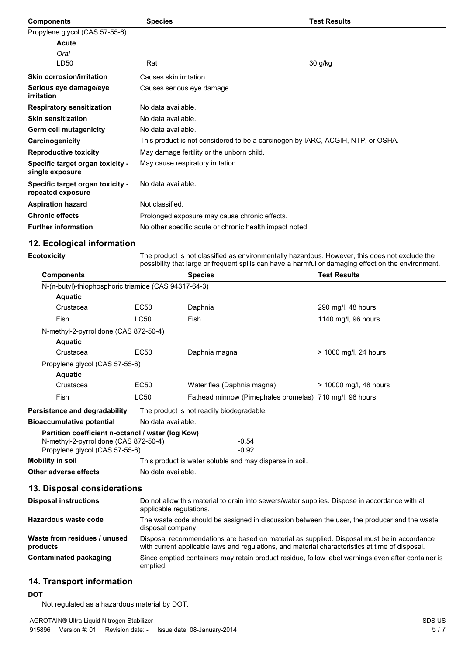| <b>Components</b>                                     | <b>Species</b>                                          | <b>Test Results</b>                                                             |
|-------------------------------------------------------|---------------------------------------------------------|---------------------------------------------------------------------------------|
| Propylene glycol (CAS 57-55-6)                        |                                                         |                                                                                 |
| Acute                                                 |                                                         |                                                                                 |
| Oral                                                  |                                                         |                                                                                 |
| LD50                                                  | Rat                                                     | 30 g/kg                                                                         |
| <b>Skin corrosion/irritation</b>                      | Causes skin irritation.                                 |                                                                                 |
| Serious eye damage/eye<br>irritation                  | Causes serious eye damage.                              |                                                                                 |
| <b>Respiratory sensitization</b>                      | No data available.                                      |                                                                                 |
| <b>Skin sensitization</b>                             | No data available.                                      |                                                                                 |
| Germ cell mutagenicity                                | No data available.                                      |                                                                                 |
| Carcinogenicity                                       |                                                         | This product is not considered to be a carcinogen by IARC, ACGIH, NTP, or OSHA. |
| <b>Reproductive toxicity</b>                          | May damage fertility or the unborn child.               |                                                                                 |
| Specific target organ toxicity -<br>single exposure   | May cause respiratory irritation.                       |                                                                                 |
| Specific target organ toxicity -<br>repeated exposure | No data available.                                      |                                                                                 |
| <b>Aspiration hazard</b>                              | Not classified.                                         |                                                                                 |
| <b>Chronic effects</b>                                | Prolonged exposure may cause chronic effects.           |                                                                                 |
| <b>Further information</b>                            | No other specific acute or chronic health impact noted. |                                                                                 |

# **12. Ecological information**

| Ecotoxicity | The product is not classified as environmentally hazardous. However, this does not exclude the      |
|-------------|-----------------------------------------------------------------------------------------------------|
|             | possibility that large or frequent spills can have a harmful or damaging effect on the environment. |

| <b>Components</b>                                    |                    | <b>Species</b>                                          | <b>Test Results</b>    |
|------------------------------------------------------|--------------------|---------------------------------------------------------|------------------------|
| N-(n-butyl)-thiophosphoric triamide (CAS 94317-64-3) |                    |                                                         |                        |
| <b>Aquatic</b>                                       |                    |                                                         |                        |
| Crustacea                                            | EC50               | Daphnia                                                 | 290 mg/l, 48 hours     |
| <b>Fish</b>                                          | LC50               | Fish                                                    | 1140 mg/l, 96 hours    |
| N-methyl-2-pyrrolidone (CAS 872-50-4)                |                    |                                                         |                        |
| <b>Aquatic</b>                                       |                    |                                                         |                        |
| Crustacea                                            | EC50               | Daphnia magna                                           | > 1000 mg/l, 24 hours  |
| Propylene glycol (CAS 57-55-6)                       |                    |                                                         |                        |
| <b>Aquatic</b>                                       |                    |                                                         |                        |
| Crustacea                                            | EC50               | Water flea (Daphnia magna)                              | > 10000 mg/l, 48 hours |
| Fish                                                 | LC50               | Fathead minnow (Pimephales promelas) 710 mg/l, 96 hours |                        |
| Persistence and degradability                        |                    | The product is not readily biodegradable.               |                        |
| <b>Bioaccumulative potential</b>                     | No data available. |                                                         |                        |
| Partition coefficient n-octanol / water (log Kow)    |                    |                                                         |                        |
| N-methyl-2-pyrrolidone (CAS 872-50-4)                |                    | $-0.54$                                                 |                        |
| Propylene glycol (CAS 57-55-6)                       |                    | $-0.92$                                                 |                        |
| Mobility in soil                                     |                    | This product is water soluble and may disperse in soil. |                        |
| Other adverse effects                                | No data available. |                                                         |                        |

# **13. Disposal considerations**

| <b>Disposal instructions</b>             | Do not allow this material to drain into sewers/water supplies. Dispose in accordance with all<br>applicable regulations.                                                                                                                                                                                          |  |  |
|------------------------------------------|--------------------------------------------------------------------------------------------------------------------------------------------------------------------------------------------------------------------------------------------------------------------------------------------------------------------|--|--|
| Hazardous waste code                     | The waste code should be assigned in discussion between the user, the producer and the waste<br>disposal company.<br>Disposal recommendations are based on material as supplied. Disposal must be in accordance<br>with current applicable laws and regulations, and material characteristics at time of disposal. |  |  |
| Waste from residues / unused<br>products |                                                                                                                                                                                                                                                                                                                    |  |  |
| Contaminated packaging                   | Since emptied containers may retain product residue, follow label warnings even after container is<br>emptied.                                                                                                                                                                                                     |  |  |

# **14. Transport information**

### **DOT**

Not regulated as a hazardous material by DOT.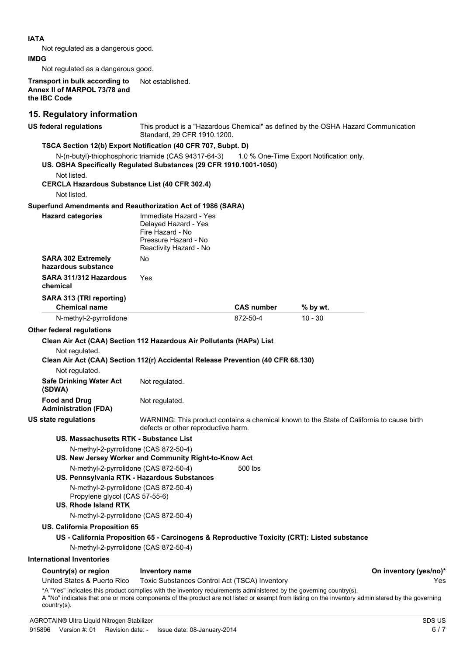| Not regulated as a dangerous good.                                                                                                                 |                                                                                                                      |                   |                                                                                           |     |
|----------------------------------------------------------------------------------------------------------------------------------------------------|----------------------------------------------------------------------------------------------------------------------|-------------------|-------------------------------------------------------------------------------------------|-----|
|                                                                                                                                                    |                                                                                                                      |                   |                                                                                           |     |
| IMDG                                                                                                                                               |                                                                                                                      |                   |                                                                                           |     |
| Not regulated as a dangerous good.                                                                                                                 |                                                                                                                      |                   |                                                                                           |     |
| Transport in bulk according to<br>Annex II of MARPOL 73/78 and<br>the IBC Code                                                                     | Not established.                                                                                                     |                   |                                                                                           |     |
| 15. Regulatory information                                                                                                                         |                                                                                                                      |                   |                                                                                           |     |
| <b>US federal regulations</b>                                                                                                                      | Standard, 29 CFR 1910, 1200.                                                                                         |                   | This product is a "Hazardous Chemical" as defined by the OSHA Hazard Communication        |     |
| TSCA Section 12(b) Export Notification (40 CFR 707, Subpt. D)<br>US. OSHA Specifically Regulated Substances (29 CFR 1910.1001-1050)<br>Not listed. | N-(n-butyl)-thiophosphoric triamide (CAS 94317-64-3) 1.0 % One-Time Export Notification only.                        |                   |                                                                                           |     |
| <b>CERCLA Hazardous Substance List (40 CFR 302.4)</b><br>Not listed.                                                                               |                                                                                                                      |                   |                                                                                           |     |
| Superfund Amendments and Reauthorization Act of 1986 (SARA)                                                                                        |                                                                                                                      |                   |                                                                                           |     |
| <b>Hazard categories</b>                                                                                                                           | Immediate Hazard - Yes<br>Delayed Hazard - Yes<br>Fire Hazard - No<br>Pressure Hazard - No<br>Reactivity Hazard - No |                   |                                                                                           |     |
| <b>SARA 302 Extremely</b><br>hazardous substance                                                                                                   | No                                                                                                                   |                   |                                                                                           |     |
| SARA 311/312 Hazardous<br>chemical                                                                                                                 | Yes                                                                                                                  |                   |                                                                                           |     |
| SARA 313 (TRI reporting)<br><b>Chemical name</b>                                                                                                   |                                                                                                                      | <b>CAS number</b> | % by wt.                                                                                  |     |
| N-methyl-2-pyrrolidone                                                                                                                             |                                                                                                                      | 872-50-4          | $10 - 30$                                                                                 |     |
| Other federal regulations                                                                                                                          |                                                                                                                      |                   |                                                                                           |     |
| Clean Air Act (CAA) Section 112 Hazardous Air Pollutants (HAPs) List                                                                               |                                                                                                                      |                   |                                                                                           |     |
| Not regulated.<br>Clean Air Act (CAA) Section 112(r) Accidental Release Prevention (40 CFR 68.130)                                                 |                                                                                                                      |                   |                                                                                           |     |
| Not regulated.                                                                                                                                     |                                                                                                                      |                   |                                                                                           |     |
| <b>Safe Drinking Water Act</b><br>(SDWA)                                                                                                           | Not regulated.                                                                                                       |                   |                                                                                           |     |
| <b>Food and Drug</b><br><b>Administration (FDA)</b>                                                                                                | Not regulated.                                                                                                       |                   |                                                                                           |     |
| <b>US state regulations</b>                                                                                                                        | defects or other reproductive harm.                                                                                  |                   | WARNING: This product contains a chemical known to the State of California to cause birth |     |
| US. Massachusetts RTK - Substance List                                                                                                             |                                                                                                                      |                   |                                                                                           |     |
| N-methyl-2-pyrrolidone (CAS 872-50-4)                                                                                                              | US. New Jersey Worker and Community Right-to-Know Act                                                                |                   |                                                                                           |     |
| N-methyl-2-pyrrolidone (CAS 872-50-4)                                                                                                              |                                                                                                                      | 500 lbs           |                                                                                           |     |
| N-methyl-2-pyrrolidone (CAS 872-50-4)                                                                                                              | US. Pennsylvania RTK - Hazardous Substances                                                                          |                   |                                                                                           |     |
| Propylene glycol (CAS 57-55-6)<br><b>US. Rhode Island RTK</b>                                                                                      |                                                                                                                      |                   |                                                                                           |     |
| N-methyl-2-pyrrolidone (CAS 872-50-4)                                                                                                              |                                                                                                                      |                   |                                                                                           |     |
| <b>US. California Proposition 65</b>                                                                                                               |                                                                                                                      |                   |                                                                                           |     |
|                                                                                                                                                    | US - California Proposition 65 - Carcinogens & Reproductive Toxicity (CRT): Listed substance                         |                   |                                                                                           |     |
| N-methyl-2-pyrrolidone (CAS 872-50-4)                                                                                                              |                                                                                                                      |                   |                                                                                           |     |
| <b>International Inventories</b>                                                                                                                   |                                                                                                                      |                   |                                                                                           |     |
|                                                                                                                                                    |                                                                                                                      |                   |                                                                                           |     |
|                                                                                                                                                    |                                                                                                                      |                   |                                                                                           |     |
| Country(s) or region<br>United States & Puerto Rico                                                                                                | <b>Inventory name</b><br>Toxic Substances Control Act (TSCA) Inventory                                               |                   | On inventory (yes/no)*                                                                    | Yes |